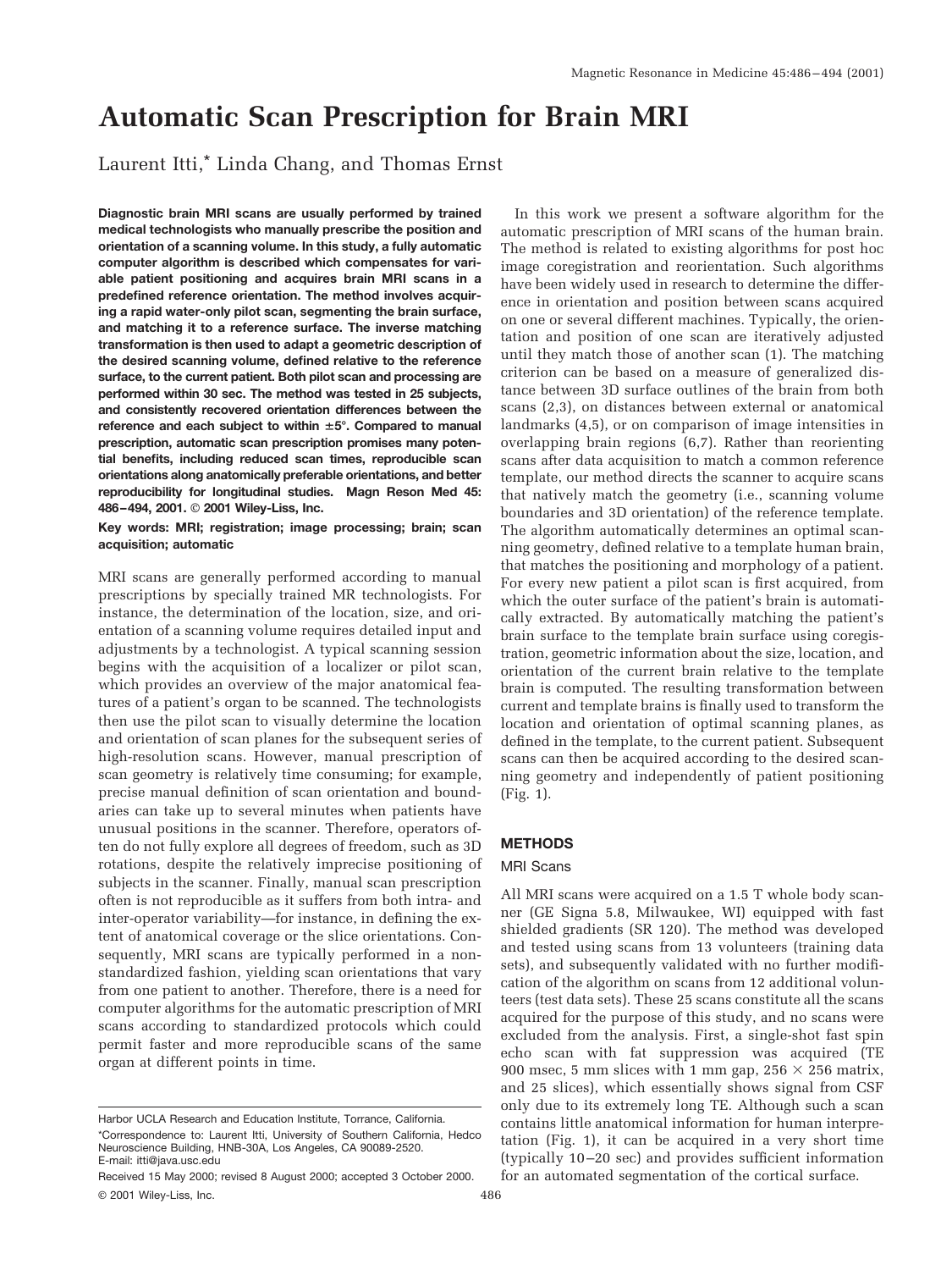# **Automatic Scan Prescription for Brain MRI**

Laurent Itti,\* Linda Chang, and Thomas Ernst

**Diagnostic brain MRI scans are usually performed by trained medical technologists who manually prescribe the position and orientation of a scanning volume. In this study, a fully automatic computer algorithm is described which compensates for variable patient positioning and acquires brain MRI scans in a predefined reference orientation. The method involves acquiring a rapid water-only pilot scan, segmenting the brain surface, and matching it to a reference surface. The inverse matching transformation is then used to adapt a geometric description of the desired scanning volume, defined relative to the reference surface, to the current patient. Both pilot scan and processing are performed within 30 sec. The method was tested in 25 subjects, and consistently recovered orientation differences between the** reference and each subject to within  $\pm 5^{\circ}$ . Compared to manual **prescription, automatic scan prescription promises many potential benefits, including reduced scan times, reproducible scan orientations along anatomically preferable orientations, and better reproducibility for longitudinal studies. Magn Reson Med 45: 486–494, 2001. © 2001 Wiley-Liss, Inc.**

**Key words: MRI; registration; image processing; brain; scan acquisition; automatic**

MRI scans are generally performed according to manual prescriptions by specially trained MR technologists. For instance, the determination of the location, size, and orientation of a scanning volume requires detailed input and adjustments by a technologist. A typical scanning session begins with the acquisition of a localizer or pilot scan, which provides an overview of the major anatomical features of a patient's organ to be scanned. The technologists then use the pilot scan to visually determine the location and orientation of scan planes for the subsequent series of high-resolution scans. However, manual prescription of scan geometry is relatively time consuming; for example, precise manual definition of scan orientation and boundaries can take up to several minutes when patients have unusual positions in the scanner. Therefore, operators often do not fully explore all degrees of freedom, such as 3D rotations, despite the relatively imprecise positioning of subjects in the scanner. Finally, manual scan prescription often is not reproducible as it suffers from both intra- and inter-operator variability—for instance, in defining the extent of anatomical coverage or the slice orientations. Consequently, MRI scans are typically performed in a nonstandardized fashion, yielding scan orientations that vary from one patient to another. Therefore, there is a need for computer algorithms for the automatic prescription of MRI scans according to standardized protocols which could permit faster and more reproducible scans of the same organ at different points in time.

In this work we present a software algorithm for the automatic prescription of MRI scans of the human brain. The method is related to existing algorithms for post hoc image coregistration and reorientation. Such algorithms have been widely used in research to determine the difference in orientation and position between scans acquired on one or several different machines. Typically, the orientation and position of one scan are iteratively adjusted until they match those of another scan (1). The matching criterion can be based on a measure of generalized distance between 3D surface outlines of the brain from both scans (2,3), on distances between external or anatomical landmarks (4,5), or on comparison of image intensities in overlapping brain regions (6,7). Rather than reorienting scans after data acquisition to match a common reference template, our method directs the scanner to acquire scans that natively match the geometry (i.e., scanning volume boundaries and 3D orientation) of the reference template. The algorithm automatically determines an optimal scanning geometry, defined relative to a template human brain, that matches the positioning and morphology of a patient. For every new patient a pilot scan is first acquired, from which the outer surface of the patient's brain is automatically extracted. By automatically matching the patient's brain surface to the template brain surface using coregistration, geometric information about the size, location, and orientation of the current brain relative to the template brain is computed. The resulting transformation between current and template brains is finally used to transform the location and orientation of optimal scanning planes, as defined in the template, to the current patient. Subsequent scans can then be acquired according to the desired scanning geometry and independently of patient positioning (Fig. 1).

## **METHODS**

### MRI Scans

All MRI scans were acquired on a 1.5 T whole body scanner (GE Signa 5.8, Milwaukee, WI) equipped with fast shielded gradients (SR 120). The method was developed and tested using scans from 13 volunteers (training data sets), and subsequently validated with no further modification of the algorithm on scans from 12 additional volunteers (test data sets). These 25 scans constitute all the scans acquired for the purpose of this study, and no scans were excluded from the analysis. First, a single-shot fast spin echo scan with fat suppression was acquired (TE 900 msec, 5 mm slices with 1 mm gap,  $256 \times 256$  matrix, and 25 slices), which essentially shows signal from CSF only due to its extremely long TE. Although such a scan contains little anatomical information for human interpretation (Fig. 1), it can be acquired in a very short time (typically 10–20 sec) and provides sufficient information for an automated segmentation of the cortical surface.

Harbor UCLA Research and Education Institute, Torrance, California. \*Correspondence to: Laurent Itti, University of Southern California, Hedco Neuroscience Building, HNB-30A, Los Angeles, CA 90089-2520. E-mail: itti@java.usc.edu

Received 15 May 2000; revised 8 August 2000; accepted 3 October 2000. © 2001 Wiley-Liss, Inc. 486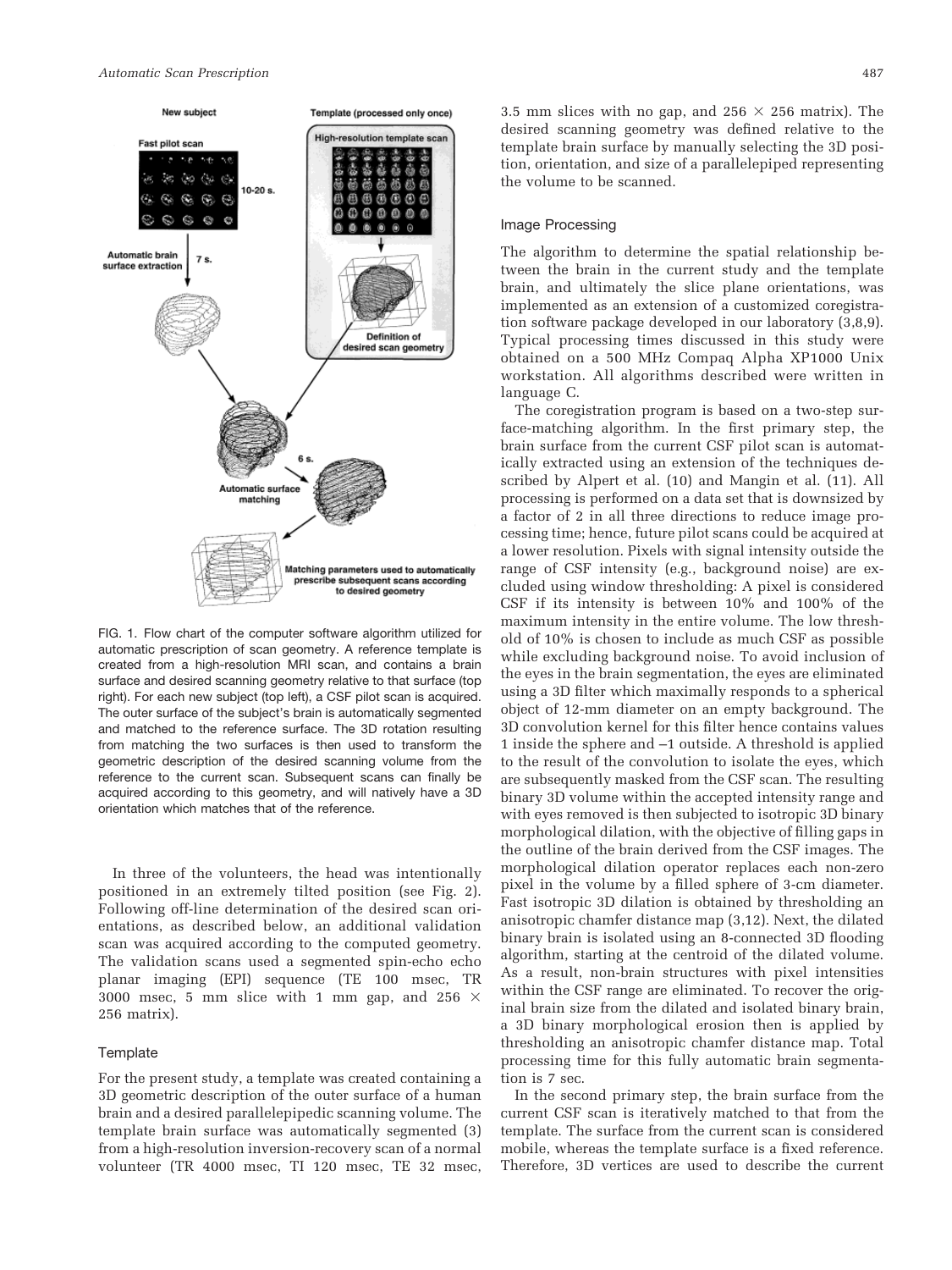

FIG. 1. Flow chart of the computer software algorithm utilized for automatic prescription of scan geometry. A reference template is created from a high-resolution MRI scan, and contains a brain surface and desired scanning geometry relative to that surface (top right). For each new subject (top left), a CSF pilot scan is acquired. The outer surface of the subject's brain is automatically segmented and matched to the reference surface. The 3D rotation resulting from matching the two surfaces is then used to transform the geometric description of the desired scanning volume from the reference to the current scan. Subsequent scans can finally be acquired according to this geometry, and will natively have a 3D orientation which matches that of the reference.

In three of the volunteers, the head was intentionally positioned in an extremely tilted position (see Fig. 2). Following off-line determination of the desired scan orientations, as described below, an additional validation scan was acquired according to the computed geometry. The validation scans used a segmented spin-echo echo planar imaging (EPI) sequence (TE 100 msec, TR 3000 msec, 5 mm slice with 1 mm gap, and 256  $\times$ 256 matrix).

#### **Template**

For the present study, a template was created containing a 3D geometric description of the outer surface of a human brain and a desired parallelepipedic scanning volume. The template brain surface was automatically segmented (3) from a high-resolution inversion-recovery scan of a normal volunteer (TR 4000 msec, TI 120 msec, TE 32 msec, 3.5 mm slices with no gap, and  $256 \times 256$  matrix). The desired scanning geometry was defined relative to the template brain surface by manually selecting the 3D position, orientation, and size of a parallelepiped representing the volume to be scanned.

## Image Processing

The algorithm to determine the spatial relationship between the brain in the current study and the template brain, and ultimately the slice plane orientations, was implemented as an extension of a customized coregistration software package developed in our laboratory (3,8,9). Typical processing times discussed in this study were obtained on a 500 MHz Compaq Alpha XP1000 Unix workstation. All algorithms described were written in language C.

The coregistration program is based on a two-step surface-matching algorithm. In the first primary step, the brain surface from the current CSF pilot scan is automatically extracted using an extension of the techniques described by Alpert et al. (10) and Mangin et al. (11). All processing is performed on a data set that is downsized by a factor of 2 in all three directions to reduce image processing time; hence, future pilot scans could be acquired at a lower resolution. Pixels with signal intensity outside the range of CSF intensity (e.g., background noise) are excluded using window thresholding: A pixel is considered CSF if its intensity is between 10% and 100% of the maximum intensity in the entire volume. The low threshold of 10% is chosen to include as much CSF as possible while excluding background noise. To avoid inclusion of the eyes in the brain segmentation, the eyes are eliminated using a 3D filter which maximally responds to a spherical object of 12-mm diameter on an empty background. The 3D convolution kernel for this filter hence contains values 1 inside the sphere and –1 outside. A threshold is applied to the result of the convolution to isolate the eyes, which are subsequently masked from the CSF scan. The resulting binary 3D volume within the accepted intensity range and with eyes removed is then subjected to isotropic 3D binary morphological dilation, with the objective of filling gaps in the outline of the brain derived from the CSF images. The morphological dilation operator replaces each non-zero pixel in the volume by a filled sphere of 3-cm diameter. Fast isotropic 3D dilation is obtained by thresholding an anisotropic chamfer distance map (3,12). Next, the dilated binary brain is isolated using an 8-connected 3D flooding algorithm, starting at the centroid of the dilated volume. As a result, non-brain structures with pixel intensities within the CSF range are eliminated. To recover the original brain size from the dilated and isolated binary brain, a 3D binary morphological erosion then is applied by thresholding an anisotropic chamfer distance map. Total processing time for this fully automatic brain segmentation is 7 sec.

In the second primary step, the brain surface from the current CSF scan is iteratively matched to that from the template. The surface from the current scan is considered mobile, whereas the template surface is a fixed reference. Therefore, 3D vertices are used to describe the current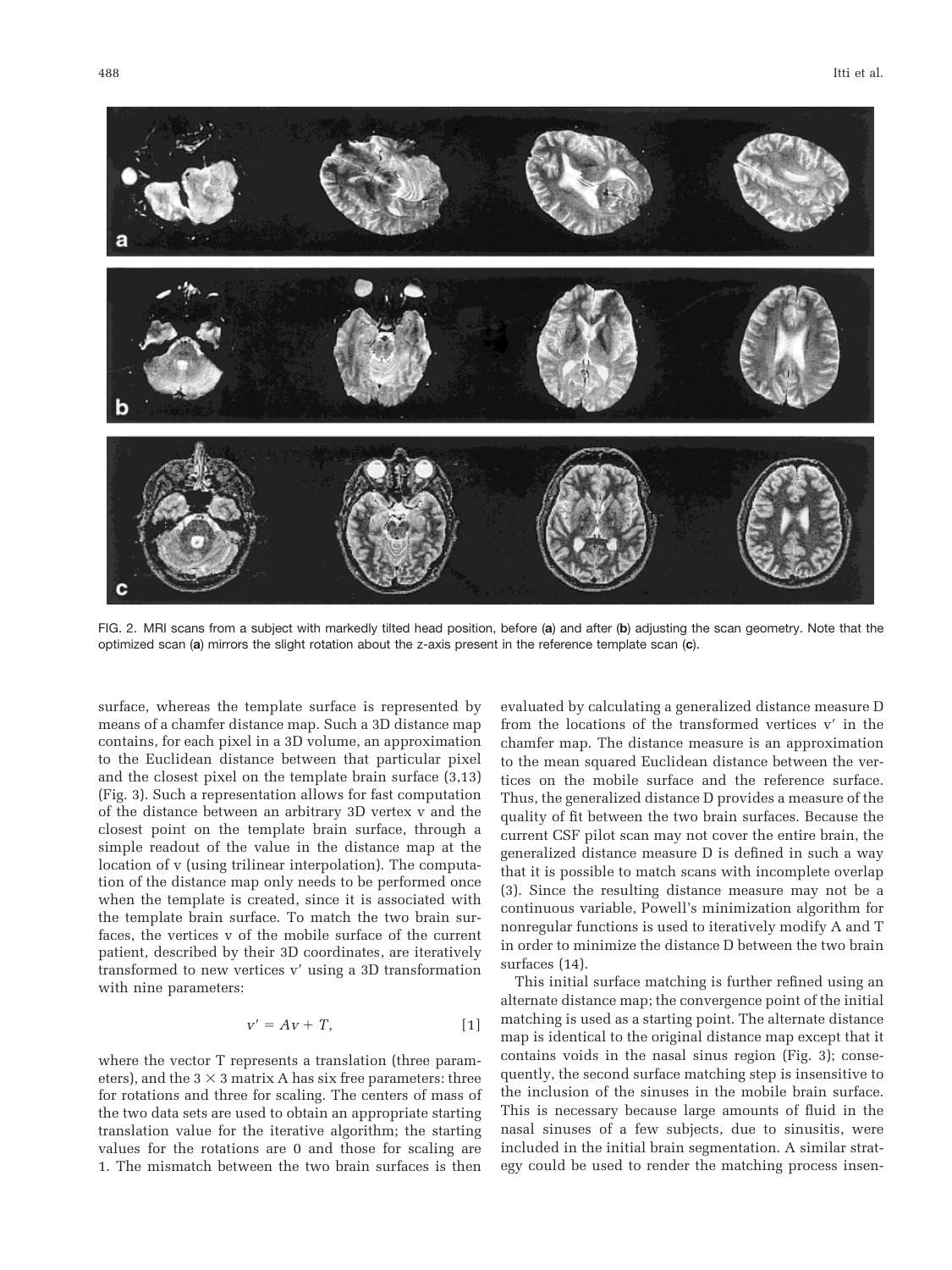

FIG. 2. MRI scans from a subject with markedly tilted head position, before (**a**) and after (**b**) adjusting the scan geometry. Note that the optimized scan (**a**) mirrors the slight rotation about the z-axis present in the reference template scan (**c**).

surface, whereas the template surface is represented by means of a chamfer distance map. Such a 3D distance map contains, for each pixel in a 3D volume, an approximation to the Euclidean distance between that particular pixel and the closest pixel on the template brain surface (3,13) (Fig. 3). Such a representation allows for fast computation of the distance between an arbitrary 3D vertex v and the closest point on the template brain surface, through a simple readout of the value in the distance map at the location of v (using trilinear interpolation). The computation of the distance map only needs to be performed once when the template is created, since it is associated with the template brain surface. To match the two brain surfaces, the vertices v of the mobile surface of the current patient, described by their 3D coordinates, are iteratively transformed to new vertices  $v'$  using a 3D transformation with nine parameters:

$$
v' = Av + T,\tag{1}
$$

where the vector T represents a translation (three parameters), and the  $3 \times 3$  matrix A has six free parameters: three for rotations and three for scaling. The centers of mass of the two data sets are used to obtain an appropriate starting translation value for the iterative algorithm; the starting values for the rotations are 0 and those for scaling are 1. The mismatch between the two brain surfaces is then evaluated by calculating a generalized distance measure D from the locations of the transformed vertices v' in the chamfer map. The distance measure is an approximation to the mean squared Euclidean distance between the vertices on the mobile surface and the reference surface. Thus, the generalized distance D provides a measure of the quality of fit between the two brain surfaces. Because the current CSF pilot scan may not cover the entire brain, the generalized distance measure D is defined in such a way that it is possible to match scans with incomplete overlap (3). Since the resulting distance measure may not be a continuous variable, Powell's minimization algorithm for nonregular functions is used to iteratively modify A and T in order to minimize the distance D between the two brain surfaces (14).

This initial surface matching is further refined using an alternate distance map; the convergence point of the initial matching is used as a starting point. The alternate distance map is identical to the original distance map except that it contains voids in the nasal sinus region (Fig. 3); consequently, the second surface matching step is insensitive to the inclusion of the sinuses in the mobile brain surface. This is necessary because large amounts of fluid in the nasal sinuses of a few subjects, due to sinusitis, were included in the initial brain segmentation. A similar strategy could be used to render the matching process insen-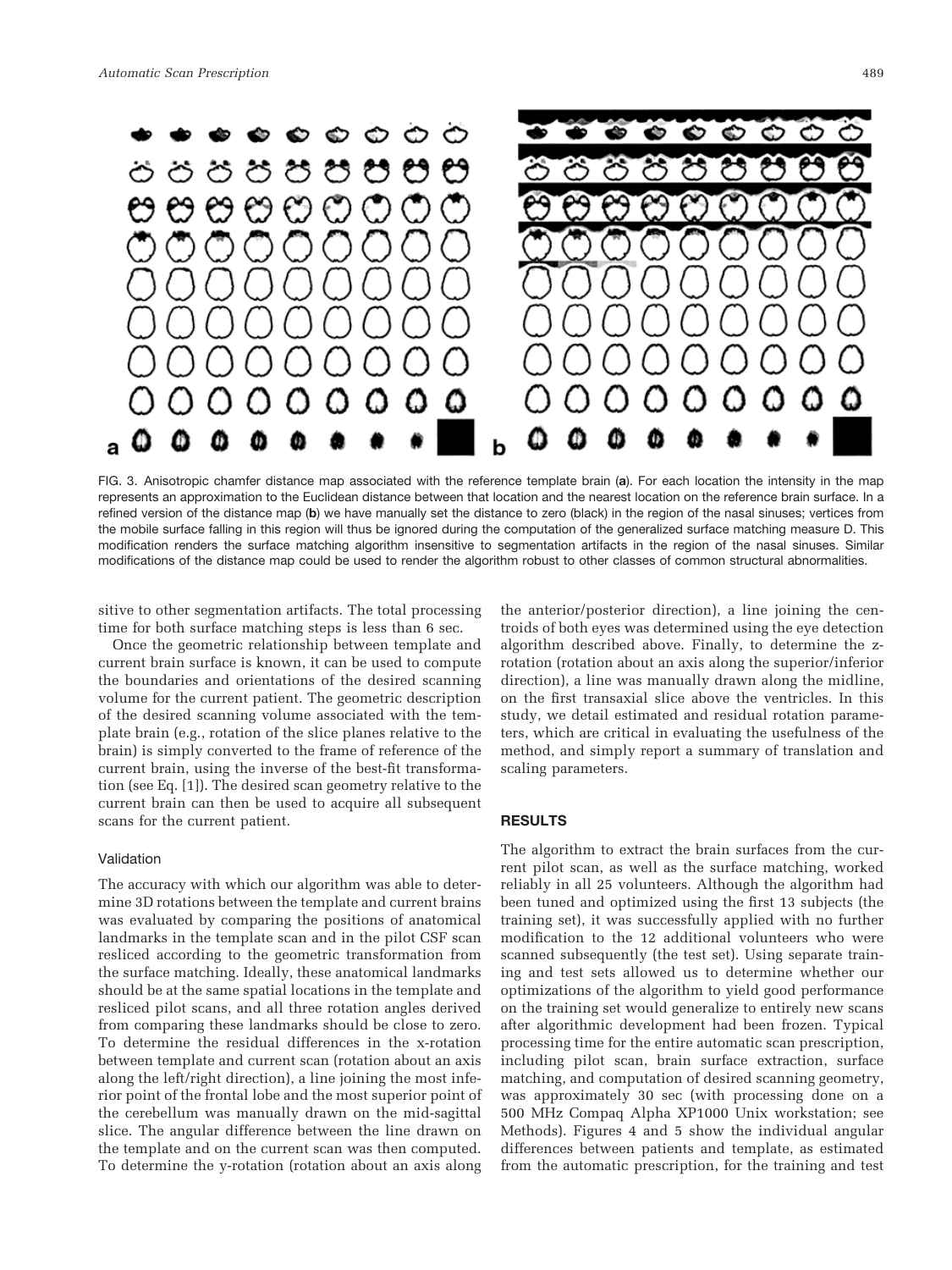

FIG. 3. Anisotropic chamfer distance map associated with the reference template brain (**a**). For each location the intensity in the map represents an approximation to the Euclidean distance between that location and the nearest location on the reference brain surface. In a refined version of the distance map (**b**) we have manually set the distance to zero (black) in the region of the nasal sinuses; vertices from the mobile surface falling in this region will thus be ignored during the computation of the generalized surface matching measure D. This modification renders the surface matching algorithm insensitive to segmentation artifacts in the region of the nasal sinuses. Similar modifications of the distance map could be used to render the algorithm robust to other classes of common structural abnormalities.

sitive to other segmentation artifacts. The total processing time for both surface matching steps is less than 6 sec.

Once the geometric relationship between template and current brain surface is known, it can be used to compute the boundaries and orientations of the desired scanning volume for the current patient. The geometric description of the desired scanning volume associated with the template brain (e.g., rotation of the slice planes relative to the brain) is simply converted to the frame of reference of the current brain, using the inverse of the best-fit transformation (see Eq. [1]). The desired scan geometry relative to the current brain can then be used to acquire all subsequent scans for the current patient.

#### Validation

The accuracy with which our algorithm was able to determine 3D rotations between the template and current brains was evaluated by comparing the positions of anatomical landmarks in the template scan and in the pilot CSF scan resliced according to the geometric transformation from the surface matching. Ideally, these anatomical landmarks should be at the same spatial locations in the template and resliced pilot scans, and all three rotation angles derived from comparing these landmarks should be close to zero. To determine the residual differences in the x-rotation between template and current scan (rotation about an axis along the left/right direction), a line joining the most inferior point of the frontal lobe and the most superior point of the cerebellum was manually drawn on the mid-sagittal slice. The angular difference between the line drawn on the template and on the current scan was then computed. To determine the y-rotation (rotation about an axis along the anterior/posterior direction), a line joining the centroids of both eyes was determined using the eye detection algorithm described above. Finally, to determine the zrotation (rotation about an axis along the superior/inferior direction), a line was manually drawn along the midline, on the first transaxial slice above the ventricles. In this study, we detail estimated and residual rotation parameters, which are critical in evaluating the usefulness of the method, and simply report a summary of translation and scaling parameters.

# **RESULTS**

The algorithm to extract the brain surfaces from the current pilot scan, as well as the surface matching, worked reliably in all 25 volunteers. Although the algorithm had been tuned and optimized using the first 13 subjects (the training set), it was successfully applied with no further modification to the 12 additional volunteers who were scanned subsequently (the test set). Using separate training and test sets allowed us to determine whether our optimizations of the algorithm to yield good performance on the training set would generalize to entirely new scans after algorithmic development had been frozen. Typical processing time for the entire automatic scan prescription, including pilot scan, brain surface extraction, surface matching, and computation of desired scanning geometry, was approximately 30 sec (with processing done on a 500 MHz Compaq Alpha XP1000 Unix workstation; see Methods). Figures 4 and 5 show the individual angular differences between patients and template, as estimated from the automatic prescription, for the training and test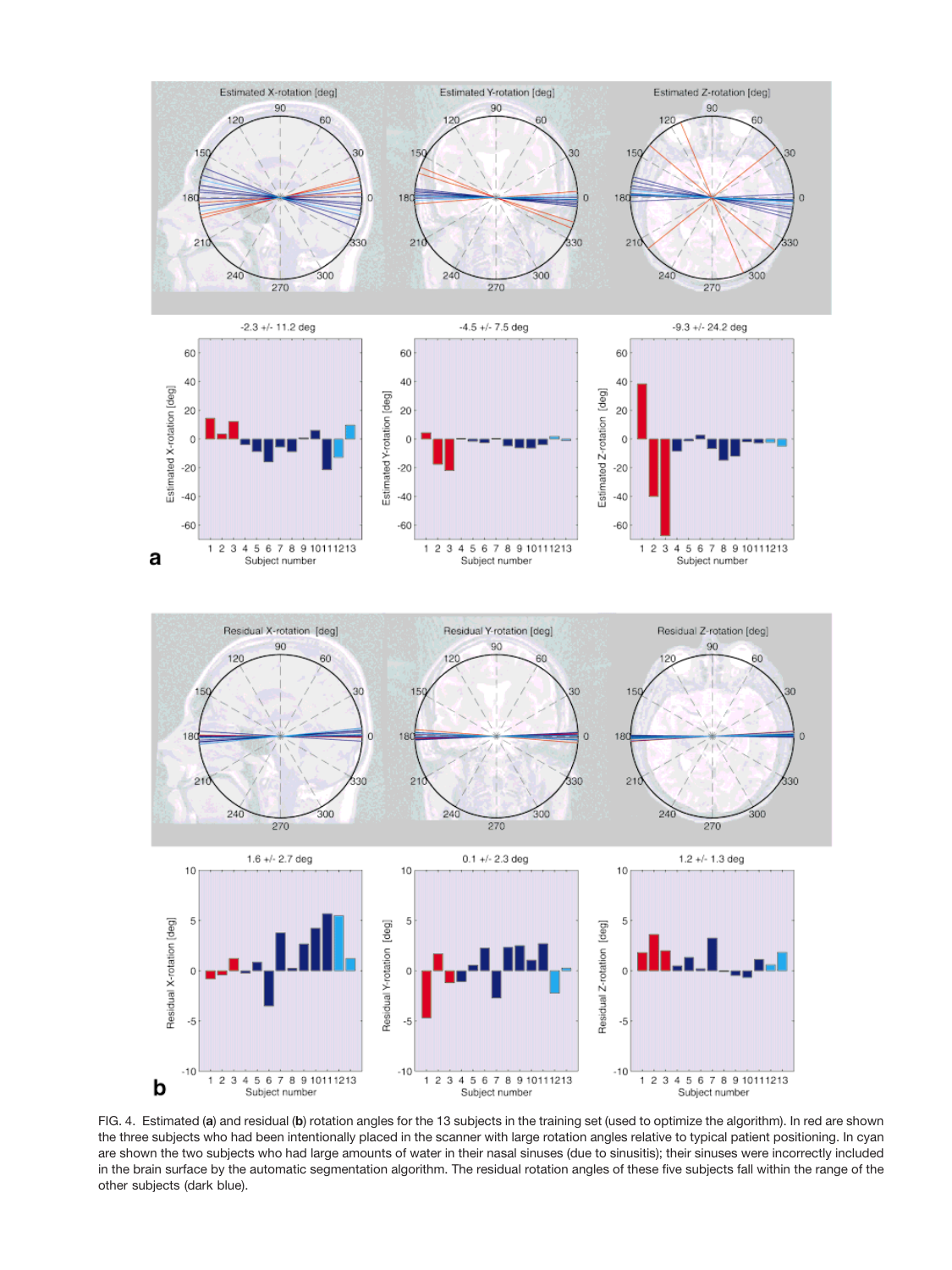

FIG. 4. Estimated (**a**) and residual (**b**) rotation angles for the 13 subjects in the training set (used to optimize the algorithm). In red are shown the three subjects who had been intentionally placed in the scanner with large rotation angles relative to typical patient positioning. In cyan are shown the two subjects who had large amounts of water in their nasal sinuses (due to sinusitis); their sinuses were incorrectly included in the brain surface by the automatic segmentation algorithm. The residual rotation angles of these five subjects fall within the range of the other subjects (dark blue).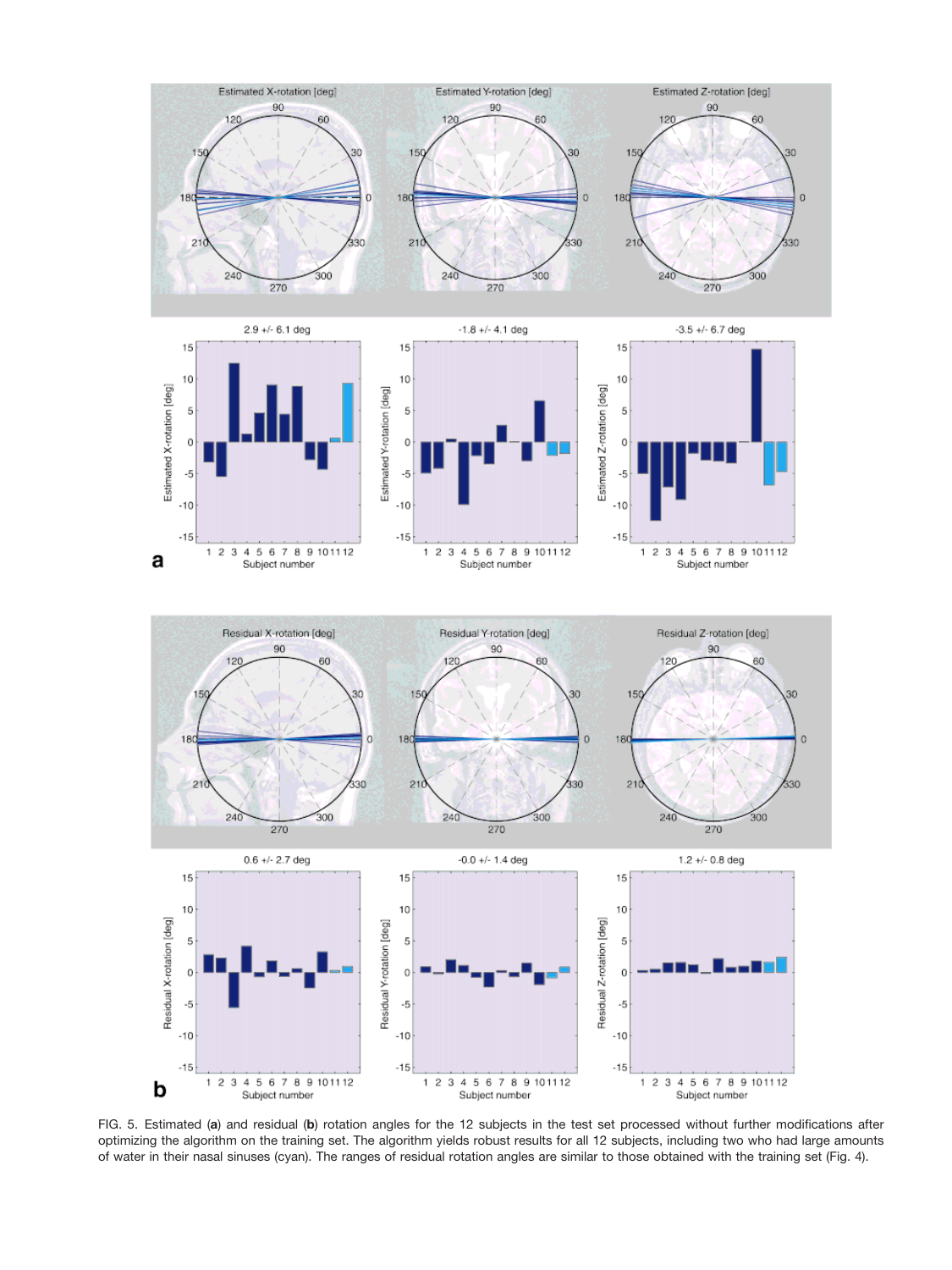

FIG. 5. Estimated (**a**) and residual (**b**) rotation angles for the 12 subjects in the test set processed without further modifications after optimizing the algorithm on the training set. The algorithm yields robust results for all 12 subjects, including two who had large amounts of water in their nasal sinuses (cyan). The ranges of residual rotation angles are similar to those obtained with the training set (Fig. 4).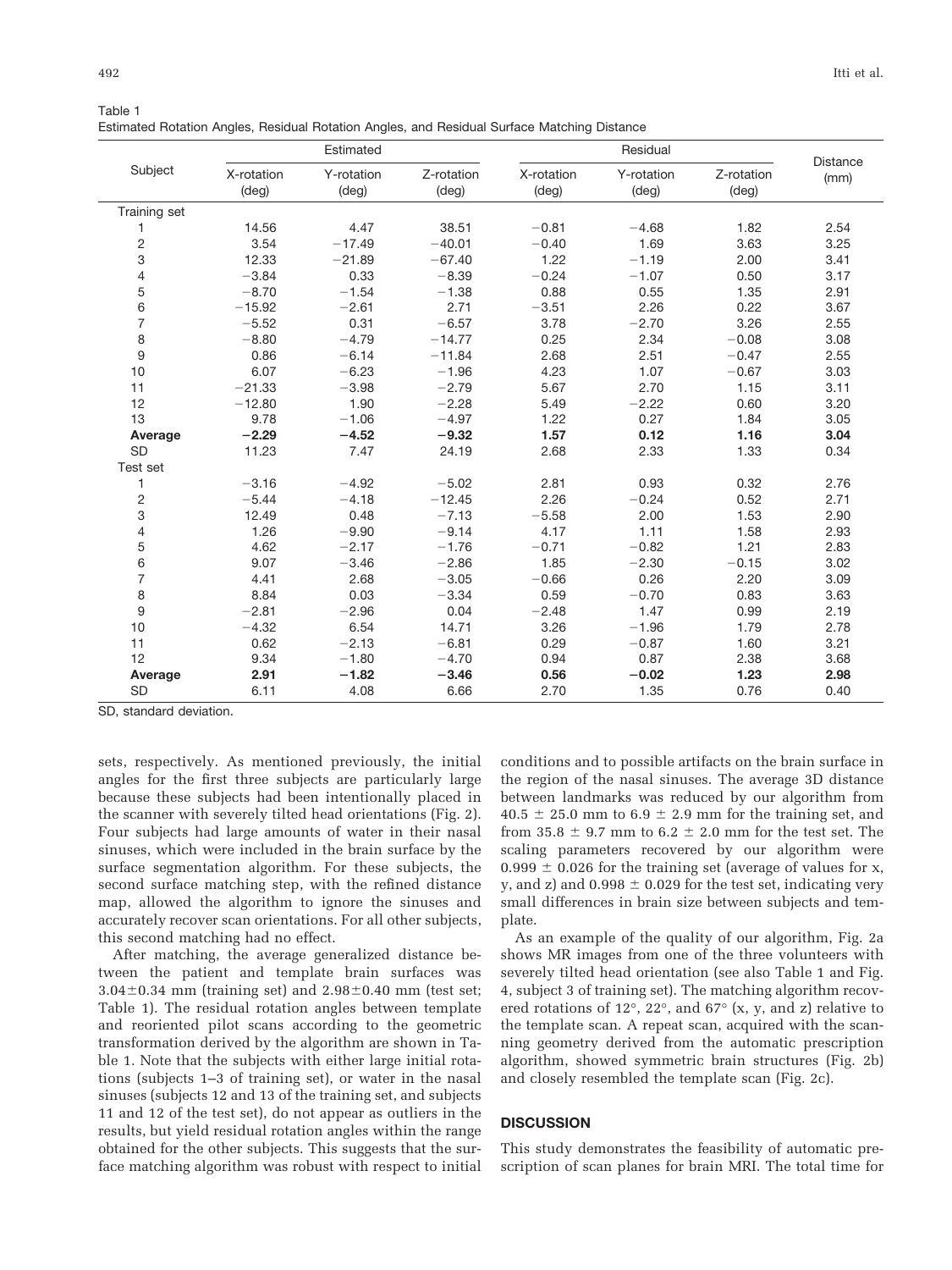| Table 1                                                                                     |  |  |  |  |  |
|---------------------------------------------------------------------------------------------|--|--|--|--|--|
| Estimated Rotation Angles, Residual Rotation Angles, and Residual Surface Matching Distance |  |  |  |  |  |

|                         |                     | Estimated           |                     |                     |                              |                     |                  |  |
|-------------------------|---------------------|---------------------|---------------------|---------------------|------------------------------|---------------------|------------------|--|
| Subject                 | X-rotation<br>(deg) | Y-rotation<br>(deg) | Z-rotation<br>(deg) | X-rotation<br>(deg) | Y-rotation<br>$(\text{deg})$ | Z-rotation<br>(deg) | Distance<br>(mm) |  |
| Training set            |                     |                     |                     |                     |                              |                     |                  |  |
| 1                       | 14.56               | 4.47                | 38.51               | $-0.81$             | $-4.68$                      | 1.82                | 2.54             |  |
| $\sqrt{2}$              | 3.54                | $-17.49$            | $-40.01$            | $-0.40$             | 1.69                         | 3.63                | 3.25             |  |
| 3                       | 12.33               | $-21.89$            | $-67.40$            | 1.22                | $-1.19$                      | 2.00                | 3.41             |  |
| $\overline{4}$          | $-3.84$             | 0.33                | $-8.39$             | $-0.24$             | $-1.07$                      | 0.50                | 3.17             |  |
| 5                       | $-8.70$             | $-1.54$             | $-1.38$             | 0.88                | 0.55                         | 1.35                | 2.91             |  |
| 6                       | $-15.92$            | $-2.61$             | 2.71                | $-3.51$             | 2.26                         | 0.22                | 3.67             |  |
| $\overline{7}$          | $-5.52$             | 0.31                | $-6.57$             | 3.78                | $-2.70$                      | 3.26                | 2.55             |  |
| 8                       | $-8.80$             | $-4.79$             | $-14.77$            | 0.25                | 2.34                         | $-0.08$             | 3.08             |  |
| 9                       | 0.86                | $-6.14$             | $-11.84$            | 2.68                | 2.51                         | $-0.47$             | 2.55             |  |
| 10                      | 6.07                | $-6.23$             | $-1.96$             | 4.23                | 1.07                         | $-0.67$             | 3.03             |  |
| 11                      | $-21.33$            | $-3.98$             | $-2.79$             | 5.67                | 2.70                         | 1.15                | 3.11             |  |
| 12                      | $-12.80$            | 1.90                | $-2.28$             | 5.49                | $-2.22$                      | 0.60                | 3.20             |  |
| 13                      | 9.78                | $-1.06$             | $-4.97$             | 1.22                | 0.27                         | 1.84                | 3.05             |  |
| Average                 | $-2.29$             | $-4.52$             | $-9.32$             | 1.57                | 0.12                         | 1.16                | 3.04             |  |
| <b>SD</b>               | 11.23               | 7.47                | 24.19               | 2.68                | 2.33                         | 1.33                | 0.34             |  |
| Test set                |                     |                     |                     |                     |                              |                     |                  |  |
| 1                       | $-3.16$             | $-4.92$             | $-5.02$             | 2.81                | 0.93                         | 0.32                | 2.76             |  |
| $\overline{\mathbf{c}}$ | $-5.44$             | $-4.18$             | $-12.45$            | 2.26                | $-0.24$                      | 0.52                | 2.71             |  |
| 3                       | 12.49               | 0.48                | $-7.13$             | $-5.58$             | 2.00                         | 1.53                | 2.90             |  |
| $\overline{4}$          | 1.26                | $-9.90$             | $-9.14$             | 4.17                | 1.11                         | 1.58                | 2.93             |  |
| 5                       | 4.62                | $-2.17$             | $-1.76$             | $-0.71$             | $-0.82$                      | 1.21                | 2.83             |  |
| 6                       | 9.07                | $-3.46$             | $-2.86$             | 1.85                | $-2.30$                      | $-0.15$             | 3.02             |  |
| $\overline{7}$          | 4.41                | 2.68                | $-3.05$             | $-0.66$             | 0.26                         | 2.20                | 3.09             |  |
| 8                       | 8.84                | 0.03                | $-3.34$             | 0.59                | $-0.70$                      | 0.83                | 3.63             |  |
| 9                       | $-2.81$             | $-2.96$             | 0.04                | $-2.48$             | 1.47                         | 0.99                | 2.19             |  |
| 10                      | $-4.32$             | 6.54                | 14.71               | 3.26                | $-1.96$                      | 1.79                | 2.78             |  |
| 11                      | 0.62                | $-2.13$             | $-6.81$             | 0.29                | $-0.87$                      | 1.60                | 3.21             |  |
| 12                      | 9.34                | $-1.80$             | $-4.70$             | 0.94                | 0.87                         | 2.38                | 3.68             |  |
| Average                 | 2.91                | $-1.82$             | $-3.46$             | 0.56                | $-0.02$                      | 1.23                | 2.98             |  |
| <b>SD</b>               | 6.11                | 4.08                | 6.66                | 2.70                | 1.35                         | 0.76                | 0.40             |  |

SD, standard deviation.

sets, respectively. As mentioned previously, the initial angles for the first three subjects are particularly large because these subjects had been intentionally placed in the scanner with severely tilted head orientations (Fig. 2). Four subjects had large amounts of water in their nasal sinuses, which were included in the brain surface by the surface segmentation algorithm. For these subjects, the second surface matching step, with the refined distance map, allowed the algorithm to ignore the sinuses and accurately recover scan orientations. For all other subjects, this second matching had no effect.

After matching, the average generalized distance between the patient and template brain surfaces was  $3.04\pm0.34$  mm (training set) and  $2.98\pm0.40$  mm (test set; Table 1). The residual rotation angles between template and reoriented pilot scans according to the geometric transformation derived by the algorithm are shown in Table 1. Note that the subjects with either large initial rotations (subjects 1–3 of training set), or water in the nasal sinuses (subjects 12 and 13 of the training set, and subjects 11 and 12 of the test set), do not appear as outliers in the results, but yield residual rotation angles within the range obtained for the other subjects. This suggests that the surface matching algorithm was robust with respect to initial

conditions and to possible artifacts on the brain surface in the region of the nasal sinuses. The average 3D distance between landmarks was reduced by our algorithm from  $40.5 \pm 25.0$  mm to  $6.9 \pm 2.9$  mm for the training set, and from 35.8  $\pm$  9.7 mm to 6.2  $\pm$  2.0 mm for the test set. The scaling parameters recovered by our algorithm were  $0.999 \pm 0.026$  for the training set (average of values for x, y, and z) and  $0.998 \pm 0.029$  for the test set, indicating very small differences in brain size between subjects and template.

As an example of the quality of our algorithm, Fig. 2a shows MR images from one of the three volunteers with severely tilted head orientation (see also Table 1 and Fig. 4, subject 3 of training set). The matching algorithm recovered rotations of 12°, 22°, and 67° (x, y, and z) relative to the template scan. A repeat scan, acquired with the scanning geometry derived from the automatic prescription algorithm, showed symmetric brain structures (Fig. 2b) and closely resembled the template scan (Fig. 2c).

## **DISCUSSION**

This study demonstrates the feasibility of automatic prescription of scan planes for brain MRI. The total time for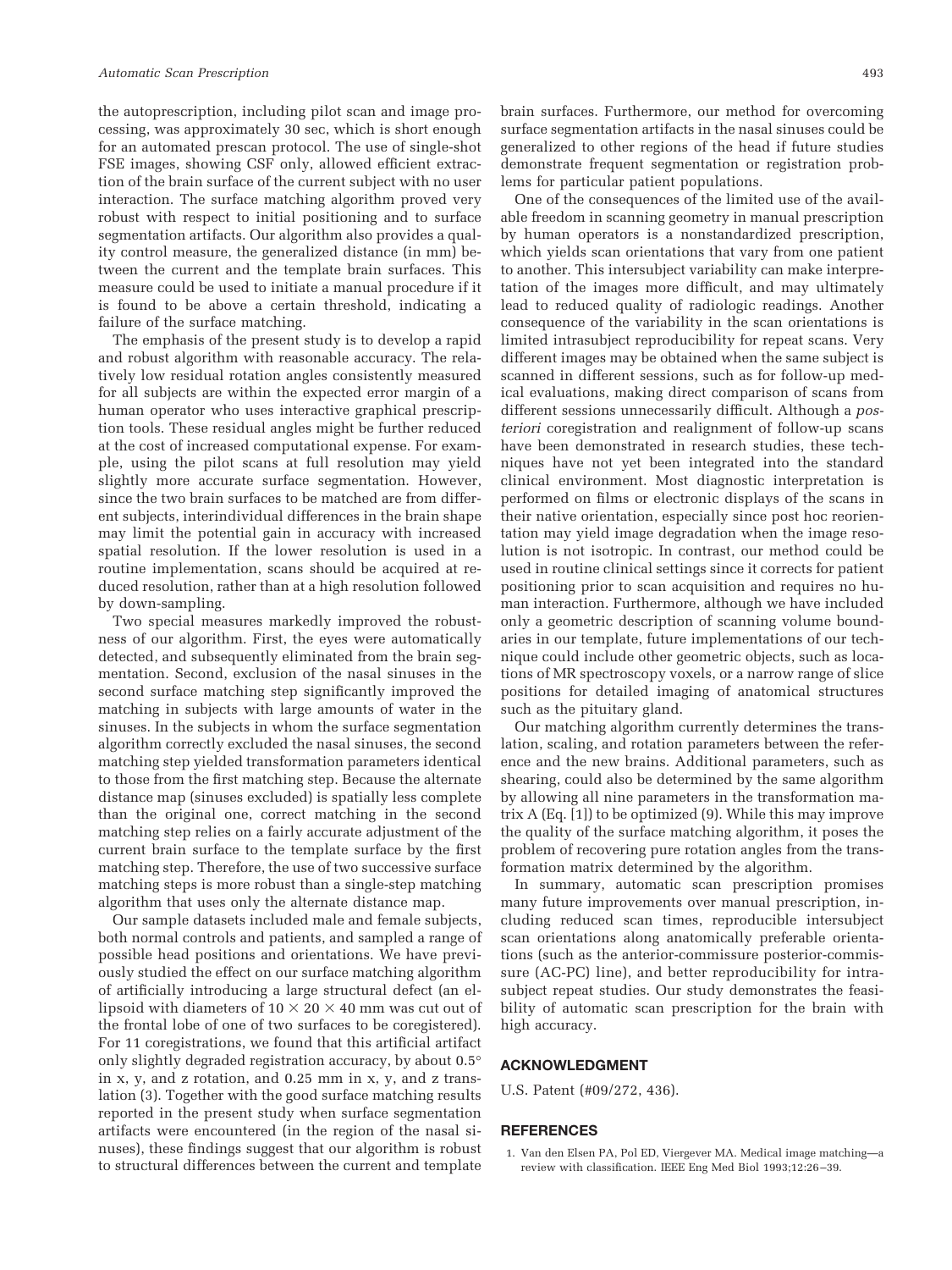the autoprescription, including pilot scan and image processing, was approximately 30 sec, which is short enough for an automated prescan protocol. The use of single-shot FSE images, showing CSF only, allowed efficient extraction of the brain surface of the current subject with no user interaction. The surface matching algorithm proved very robust with respect to initial positioning and to surface segmentation artifacts. Our algorithm also provides a quality control measure, the generalized distance (in mm) between the current and the template brain surfaces. This measure could be used to initiate a manual procedure if it is found to be above a certain threshold, indicating a failure of the surface matching.

The emphasis of the present study is to develop a rapid and robust algorithm with reasonable accuracy. The relatively low residual rotation angles consistently measured for all subjects are within the expected error margin of a human operator who uses interactive graphical prescription tools. These residual angles might be further reduced at the cost of increased computational expense. For example, using the pilot scans at full resolution may yield slightly more accurate surface segmentation. However, since the two brain surfaces to be matched are from different subjects, interindividual differences in the brain shape may limit the potential gain in accuracy with increased spatial resolution. If the lower resolution is used in a routine implementation, scans should be acquired at reduced resolution, rather than at a high resolution followed by down-sampling.

Two special measures markedly improved the robustness of our algorithm. First, the eyes were automatically detected, and subsequently eliminated from the brain segmentation. Second, exclusion of the nasal sinuses in the second surface matching step significantly improved the matching in subjects with large amounts of water in the sinuses. In the subjects in whom the surface segmentation algorithm correctly excluded the nasal sinuses, the second matching step yielded transformation parameters identical to those from the first matching step. Because the alternate distance map (sinuses excluded) is spatially less complete than the original one, correct matching in the second matching step relies on a fairly accurate adjustment of the current brain surface to the template surface by the first matching step. Therefore, the use of two successive surface matching steps is more robust than a single-step matching algorithm that uses only the alternate distance map.

Our sample datasets included male and female subjects, both normal controls and patients, and sampled a range of possible head positions and orientations. We have previously studied the effect on our surface matching algorithm of artificially introducing a large structural defect (an ellipsoid with diameters of 10  $\times$  20  $\times$  40 mm was cut out of the frontal lobe of one of two surfaces to be coregistered). For 11 coregistrations, we found that this artificial artifact only slightly degraded registration accuracy, by about 0.5° in x, y, and z rotation, and 0.25 mm in x, y, and z translation (3). Together with the good surface matching results reported in the present study when surface segmentation artifacts were encountered (in the region of the nasal sinuses), these findings suggest that our algorithm is robust to structural differences between the current and template

brain surfaces. Furthermore, our method for overcoming surface segmentation artifacts in the nasal sinuses could be generalized to other regions of the head if future studies demonstrate frequent segmentation or registration problems for particular patient populations.

One of the consequences of the limited use of the available freedom in scanning geometry in manual prescription by human operators is a nonstandardized prescription, which yields scan orientations that vary from one patient to another. This intersubject variability can make interpretation of the images more difficult, and may ultimately lead to reduced quality of radiologic readings. Another consequence of the variability in the scan orientations is limited intrasubject reproducibility for repeat scans. Very different images may be obtained when the same subject is scanned in different sessions, such as for follow-up medical evaluations, making direct comparison of scans from different sessions unnecessarily difficult. Although a *posteriori* coregistration and realignment of follow-up scans have been demonstrated in research studies, these techniques have not yet been integrated into the standard clinical environment. Most diagnostic interpretation is performed on films or electronic displays of the scans in their native orientation, especially since post hoc reorientation may yield image degradation when the image resolution is not isotropic. In contrast, our method could be used in routine clinical settings since it corrects for patient positioning prior to scan acquisition and requires no human interaction. Furthermore, although we have included only a geometric description of scanning volume boundaries in our template, future implementations of our technique could include other geometric objects, such as locations of MR spectroscopy voxels, or a narrow range of slice positions for detailed imaging of anatomical structures such as the pituitary gland.

Our matching algorithm currently determines the translation, scaling, and rotation parameters between the reference and the new brains. Additional parameters, such as shearing, could also be determined by the same algorithm by allowing all nine parameters in the transformation matrix A (Eq. [1]) to be optimized (9). While this may improve the quality of the surface matching algorithm, it poses the problem of recovering pure rotation angles from the transformation matrix determined by the algorithm.

In summary, automatic scan prescription promises many future improvements over manual prescription, including reduced scan times, reproducible intersubject scan orientations along anatomically preferable orientations (such as the anterior-commissure posterior-commissure (AC-PC) line), and better reproducibility for intrasubject repeat studies. Our study demonstrates the feasibility of automatic scan prescription for the brain with high accuracy.

## **ACKNOWLEDGMENT**

U.S. Patent (#09/272, 436).

#### **REFERENCES**

1. Van den Elsen PA, Pol ED, Viergever MA. Medical image matching—a review with classification. IEEE Eng Med Biol 1993;12:26–39.